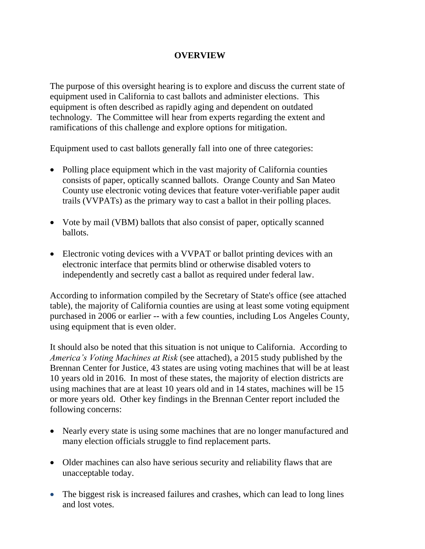## **OVERVIEW**

The purpose of this oversight hearing is to explore and discuss the current state of equipment used in California to cast ballots and administer elections. This equipment is often described as rapidly aging and dependent on outdated technology. The Committee will hear from experts regarding the extent and ramifications of this challenge and explore options for mitigation.

Equipment used to cast ballots generally fall into one of three categories:

- Polling place equipment which in the vast majority of California counties consists of paper, optically scanned ballots. Orange County and San Mateo County use electronic voting devices that feature voter-verifiable paper audit trails (VVPATs) as the primary way to cast a ballot in their polling places.
- Vote by mail (VBM) ballots that also consist of paper, optically scanned ballots.
- Electronic voting devices with a VVPAT or ballot printing devices with an electronic interface that permits blind or otherwise disabled voters to independently and secretly cast a ballot as required under federal law.

According to information compiled by the Secretary of State's office (see attached table), the majority of California counties are using at least some voting equipment purchased in 2006 or earlier -- with a few counties, including Los Angeles County, using equipment that is even older.

It should also be noted that this situation is not unique to California. According to *America's Voting Machines at Risk* (see attached), a 2015 study published by the Brennan Center for Justice, 43 states are using voting machines that will be at least 10 years old in 2016. In most of these states, the majority of election districts are using machines that are at least 10 years old and in 14 states, machines will be 15 or more years old. Other key findings in the Brennan Center report included the following concerns:

- Nearly every state is using some machines that are no longer manufactured and many election officials struggle to find replacement parts.
- Older machines can also have serious security and reliability flaws that are unacceptable today.
- The biggest risk is increased failures and crashes, which can lead to long lines and lost votes.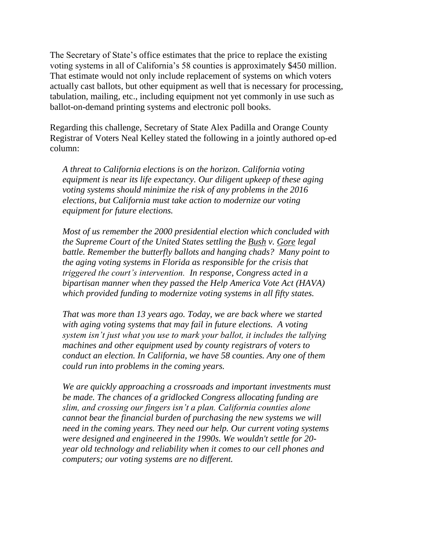The Secretary of State's office estimates that the price to replace the existing voting systems in all of California's 58 counties is approximately \$450 million. That estimate would not only include replacement of systems on which voters actually cast ballots, but other equipment as well that is necessary for processing, tabulation, mailing, etc., including equipment not yet commonly in use such as ballot-on-demand printing systems and electronic poll books.

Regarding this challenge, Secretary of State Alex Padilla and Orange County Registrar of Voters Neal Kelley stated the following in a jointly authored op-ed column:

*A threat to California elections is on the horizon. California voting equipment is near its life expectancy. Our diligent upkeep of these aging voting systems should minimize the risk of any problems in the 2016 elections, but California must take action to modernize our voting equipment for future elections.*

*Most of us remember the 2000 presidential election which concluded with the Supreme Court of the United States settling the Bush v. Gore legal battle. Remember the butterfly ballots and hanging chads? Many point to the aging voting systems in Florida as responsible for the crisis that triggered the court's intervention. In response, Congress acted in a bipartisan manner when they passed the Help America Vote Act (HAVA) which provided funding to modernize voting systems in all fifty states.*

*That was more than 13 years ago. Today, we are back where we started with aging voting systems that may fail in future elections. A voting system isn't just what you use to mark your ballot, it includes the tallying machines and other equipment used by county registrars of voters to conduct an election. In California, we have 58 counties. Any one of them could run into problems in the coming years.*

*We are quickly approaching a crossroads and important investments must be made. The chances of a gridlocked Congress allocating funding are slim, and crossing our fingers isn't a plan. California counties alone cannot bear the financial burden of purchasing the new systems we will need in the coming years. They need our help. Our current voting systems were designed and engineered in the 1990s. We wouldn't settle for 20 year old technology and reliability when it comes to our cell phones and computers; our voting systems are no different.*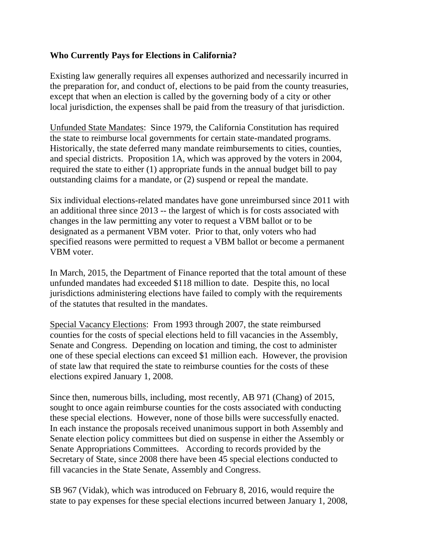## **Who Currently Pays for Elections in California?**

Existing law generally requires all expenses authorized and necessarily incurred in the preparation for, and conduct of, elections to be paid from the county treasuries, except that when an election is called by the governing body of a city or other local jurisdiction, the expenses shall be paid from the treasury of that jurisdiction.

Unfunded State Mandates: Since 1979, the California Constitution has required the state to reimburse local governments for certain state-mandated programs. Historically, the state deferred many mandate reimbursements to cities, counties, and special districts. Proposition 1A, which was approved by the voters in 2004, required the state to either (1) appropriate funds in the annual budget bill to pay outstanding claims for a mandate, or (2) suspend or repeal the mandate.

Six individual elections-related mandates have gone unreimbursed since 2011 with an additional three since 2013 -- the largest of which is for costs associated with changes in the law permitting any voter to request a VBM ballot or to be designated as a permanent VBM voter. Prior to that, only voters who had specified reasons were permitted to request a VBM ballot or become a permanent VBM voter.

In March, 2015, the Department of Finance reported that the total amount of these unfunded mandates had exceeded \$118 million to date. Despite this, no local jurisdictions administering elections have failed to comply with the requirements of the statutes that resulted in the mandates.

Special Vacancy Elections: From 1993 through 2007, the state reimbursed counties for the costs of special elections held to fill vacancies in the Assembly, Senate and Congress. Depending on location and timing, the cost to administer one of these special elections can exceed \$1 million each. However, the provision of state law that required the state to reimburse counties for the costs of these elections expired January 1, 2008.

Since then, numerous bills, including, most recently, AB 971 (Chang) of 2015, sought to once again reimburse counties for the costs associated with conducting these special elections. However, none of those bills were successfully enacted. In each instance the proposals received unanimous support in both Assembly and Senate election policy committees but died on suspense in either the Assembly or Senate Appropriations Committees. According to records provided by the Secretary of State, since 2008 there have been 45 special elections conducted to fill vacancies in the State Senate, Assembly and Congress.

SB 967 (Vidak), which was introduced on February 8, 2016, would require the state to pay expenses for these special elections incurred between January 1, 2008,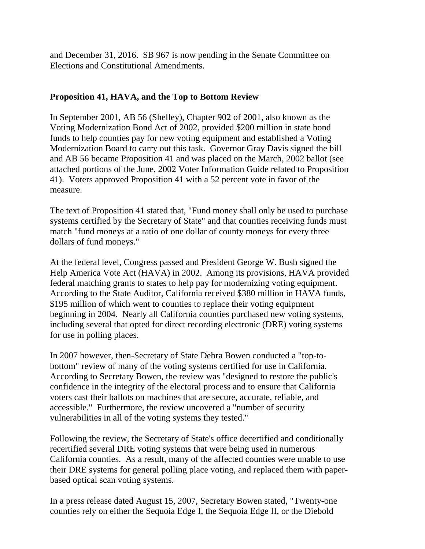and December 31, 2016. SB 967 is now pending in the Senate Committee on Elections and Constitutional Amendments.

## **Proposition 41, HAVA, and the Top to Bottom Review**

In September 2001, AB 56 (Shelley), Chapter 902 of 2001, also known as the Voting Modernization Bond Act of 2002, provided \$200 million in state bond funds to help counties pay for new voting equipment and established a Voting Modernization Board to carry out this task. Governor Gray Davis signed the bill and AB 56 became Proposition 41 and was placed on the March, 2002 ballot (see attached portions of the June, 2002 Voter Information Guide related to Proposition 41). Voters approved Proposition 41 with a 52 percent vote in favor of the measure.

The text of Proposition 41 stated that, "Fund money shall only be used to purchase systems certified by the Secretary of State" and that counties receiving funds must match "fund moneys at a ratio of one dollar of county moneys for every three dollars of fund moneys."

At the federal level, Congress passed and President George W. Bush signed the Help America Vote Act (HAVA) in 2002. Among its provisions, HAVA provided federal matching grants to states to help pay for modernizing voting equipment. According to the State Auditor, California received \$380 million in HAVA funds, \$195 million of which went to counties to replace their voting equipment beginning in 2004. Nearly all California counties purchased new voting systems, including several that opted for direct recording electronic (DRE) voting systems for use in polling places.

In 2007 however, then-Secretary of State Debra Bowen conducted a "top-tobottom" review of many of the voting systems certified for use in California. According to Secretary Bowen, the review was "designed to restore the public's confidence in the integrity of the electoral process and to ensure that California voters cast their ballots on machines that are secure, accurate, reliable, and accessible." Furthermore, the review uncovered a "number of security vulnerabilities in all of the voting systems they tested."

Following the review, the Secretary of State's office decertified and conditionally recertified several DRE voting systems that were being used in numerous California counties. As a result, many of the affected counties were unable to use their DRE systems for general polling place voting, and replaced them with paperbased optical scan voting systems.

In a press release dated August 15, 2007, Secretary Bowen stated, "Twenty-one counties rely on either the Sequoia Edge I, the Sequoia Edge II, or the Diebold